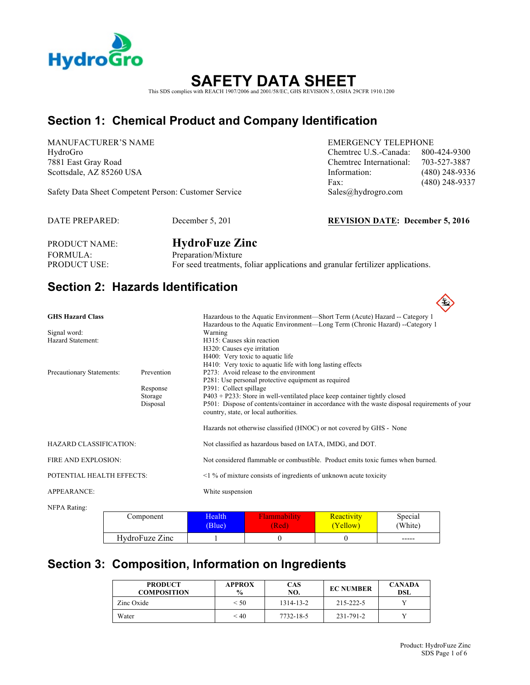

# **SAFETY DATA SHEET**

This SDS complies with REACH 1907/2006 and 2001/58/EC, GHS REVISION 5, OSHA 29CFR 1910.1200

## **Section 1: Chemical Product and Company Identification**

MANUFACTURER'S NAME EMERGENCY TELEPHONE

Safety Data Sheet Competent Person: Customer Service Sales@hydrogro.com

HydroGro Chemtrec U.S.-Canada: 800-424-9300 7881 East Gray Road Chemtrec International: 703-527-3887 Scottsdale, AZ 85260 USA Information: (480) 248-9336 Fax: (480) 248-9337

DATE PREPARED: December 5, 201 **REVISION DATE: December 5, 2016**

| <b>PRODUCT NAME:</b> | <b>HydroFuze Zinc</b>                                                          |
|----------------------|--------------------------------------------------------------------------------|
| FORMULA:             | Preparation/Mixture                                                            |
| <b>PRODUCT USE:</b>  | For seed treatments, foliar applications and granular fertilizer applications. |

## **Section 2: Hazards Identification**

| <b>GHS Hazard Class</b>           |                                               | Hazardous to the Aquatic Environment-Short Term (Acute) Hazard -- Category 1                                                                                                                                                                                                                                                                                                                                  |
|-----------------------------------|-----------------------------------------------|---------------------------------------------------------------------------------------------------------------------------------------------------------------------------------------------------------------------------------------------------------------------------------------------------------------------------------------------------------------------------------------------------------------|
| Signal word:<br>Hazard Statement: |                                               | Hazardous to the Aquatic Environment—Long Term (Chronic Hazard) --Category 1<br>Warning<br>H315: Causes skin reaction<br>H320: Causes eye irritation<br>H400: Very toxic to aquatic life                                                                                                                                                                                                                      |
| Precautionary Statements:         | Prevention<br>Response<br>Storage<br>Disposal | H410: Very toxic to aquatic life with long lasting effects<br>P273: Avoid release to the environment<br>P281: Use personal protective equipment as required<br>P391: Collect spillage<br>P403 + P233: Store in well-ventilated place keep container tightly closed<br>P501: Dispose of contents/container in accordance with the waste disposal requirements of your<br>country, state, or local authorities. |
|                                   |                                               | Hazards not otherwise classified (HNOC) or not covered by GHS - None                                                                                                                                                                                                                                                                                                                                          |
| <b>HAZARD CLASSIFICATION:</b>     |                                               | Not classified as hazardous based on IATA, IMDG, and DOT.                                                                                                                                                                                                                                                                                                                                                     |
| FIRE AND EXPLOSION:               |                                               | Not considered flammable or combustible. Product emits toxic fumes when burned.                                                                                                                                                                                                                                                                                                                               |
| POTENTIAL HEALTH EFFECTS:         |                                               | $\leq$ 1 % of mixture consists of ingredients of unknown acute toxicity                                                                                                                                                                                                                                                                                                                                       |
| <b>APPEARANCE:</b>                |                                               | White suspension                                                                                                                                                                                                                                                                                                                                                                                              |
| NFPA Rating:                      |                                               |                                                                                                                                                                                                                                                                                                                                                                                                               |

| Component      | Health | ∙lammabılıtv | Reactivity | Special |
|----------------|--------|--------------|------------|---------|
|                | (Blue) | (Red         | (Yellow)   | (White) |
| HydroFuze Zinc |        |              |            | -----   |

## **Section 3: Composition, Information on Ingredients**

| <b>PRODUCT</b><br><b>COMPOSITION</b> | <b>APPROX</b><br>$\frac{6}{9}$ | <b>CAS</b><br>NO. | <b>EC NUMBER</b> | <b>CANADA</b><br><b>DSL</b> |
|--------------------------------------|--------------------------------|-------------------|------------------|-----------------------------|
| Zinc Oxide                           | $<$ 50                         | 1314-13-2         | 215-222-5        |                             |
| Water                                | < 40                           | 7732-18-5         | 231-791-2        |                             |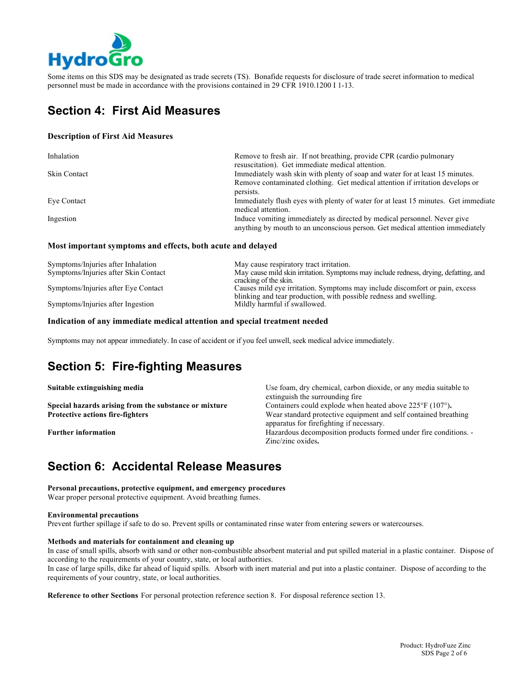

Some items on this SDS may be designated as trade secrets (TS). Bonafide requests for disclosure of trade secret information to medical personnel must be made in accordance with the provisions contained in 29 CFR 1910.1200 I 1-13.

## **Section 4: First Aid Measures**

#### **Description of First Aid Measures**

| Inhalation          | Remove to fresh air. If not breathing, provide CPR (cardio pulmonary<br>resuscitation). Get immediate medical attention.                                  |
|---------------------|-----------------------------------------------------------------------------------------------------------------------------------------------------------|
| <b>Skin Contact</b> | Immediately wash skin with plenty of soap and water for at least 15 minutes.                                                                              |
|                     | Remove contaminated clothing. Get medical attention if irritation develops or                                                                             |
|                     | persists.                                                                                                                                                 |
| Eye Contact         | Immediately flush eyes with plenty of water for at least 15 minutes. Get immediate<br>medical attention.                                                  |
| Ingestion           | Induce vomiting immediately as directed by medical personnel. Never give<br>anything by mouth to an unconscious person. Get medical attention immediately |

#### **Most important symptoms and effects, both acute and delayed**

| May cause respiratory tract irritation.                                              |
|--------------------------------------------------------------------------------------|
| May cause mild skin irritation. Symptoms may include redness, drying, defatting, and |
| cracking of the skin.                                                                |
| Causes mild eye irritation. Symptoms may include discomfort or pain, excess          |
| blinking and tear production, with possible redness and swelling.                    |
| Mildly harmful if swallowed.                                                         |
|                                                                                      |

#### **Indication of any immediate medical attention and special treatment needed**

Symptoms may not appear immediately. In case of accident or if you feel unwell, seek medical advice immediately.

## **Section 5: Fire-fighting Measures**

| Suitable extinguishing media                          | Use foam, dry chemical, carbon dioxide, or any media suitable to                                            |
|-------------------------------------------------------|-------------------------------------------------------------------------------------------------------------|
|                                                       | extinguish the surrounding fire                                                                             |
| Special hazards arising from the substance or mixture | Containers could explode when heated above $225^{\circ}F(107^{\circ})$ .                                    |
| <b>Protective actions fire-fighters</b>               | Wear standard protective equipment and self contained breathing<br>apparatus for firefighting if necessary. |
| <b>Further information</b>                            | Hazardous decomposition products formed under fire conditions. -                                            |
|                                                       | Zinc/zinc oxides.                                                                                           |

#### **Section 6: Accidental Release Measures**

**Personal precautions, protective equipment, and emergency procedures** Wear proper personal protective equipment. Avoid breathing fumes.

#### **Environmental precautions**

Prevent further spillage if safe to do so. Prevent spills or contaminated rinse water from entering sewers or watercourses.

#### **Methods and materials for containment and cleaning up**

In case of small spills, absorb with sand or other non-combustible absorbent material and put spilled material in a plastic container. Dispose of according to the requirements of your country, state, or local authorities.

In case of large spills, dike far ahead of liquid spills. Absorb with inert material and put into a plastic container. Dispose of according to the requirements of your country, state, or local authorities.

**Reference to other Sections** For personal protection reference section 8. For disposal reference section 13.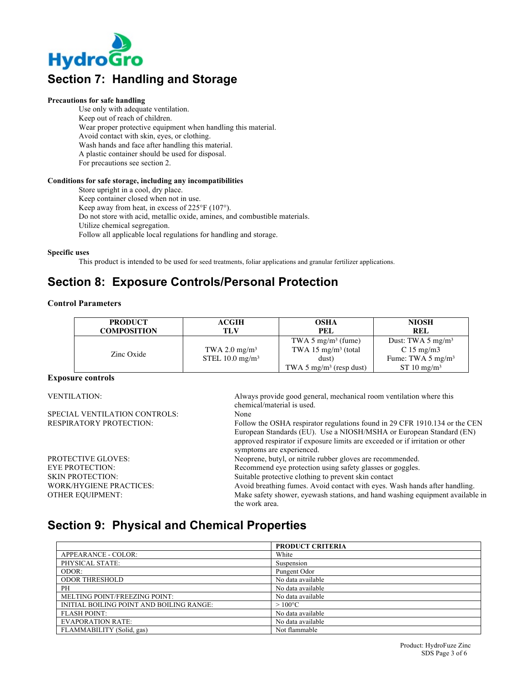

## **Section 7: Handling and Storage**

#### **Precautions for safe handling**

Use only with adequate ventilation. Keep out of reach of children. Wear proper protective equipment when handling this material. Avoid contact with skin, eyes, or clothing. Wash hands and face after handling this material. A plastic container should be used for disposal. For precautions see section 2.

#### **Conditions for safe storage, including any incompatibilities**

Store upright in a cool, dry place. Keep container closed when not in use. Keep away from heat, in excess of 225°F (107°). Do not store with acid, metallic oxide, amines, and combustible materials. Utilize chemical segregation. Follow all applicable local regulations for handling and storage.

**Specific uses**

This product is intended to be used for seed treatments, foliar applications and granular fertilizer applications.

## **Section 8: Exposure Controls/Personal Protection**

#### **Control Parameters**

| <b>PRODUCT</b>     | <b>ACGIH</b>                                   | <b>OSHA</b>                                                                                                       | <b>NIOSH</b>                                                                                      |
|--------------------|------------------------------------------------|-------------------------------------------------------------------------------------------------------------------|---------------------------------------------------------------------------------------------------|
| <b>COMPOSITION</b> | TLV                                            | PEL                                                                                                               | <b>REL</b>                                                                                        |
| Zinc Oxide         | TWA 2.0 mg/m <sup>3</sup><br>STEL 10.0 $mg/m3$ | TWA 5 mg/m <sup>3</sup> (fume)<br>TWA 15 mg/m <sup>3</sup> (total<br>dust)<br>TWA 5 mg/m <sup>3</sup> (resp dust) | Dust: TWA 5 $mg/m3$<br>C 15 mg/m $3$<br>Fume: TWA $5 \text{ mg/m}^3$<br>$ST 10$ mg/m <sup>3</sup> |

#### **Exposure controls**

| <b>VENTILATION:</b>            | Always provide good general, mechanical room ventilation where this           |
|--------------------------------|-------------------------------------------------------------------------------|
|                                | chemical/material is used.                                                    |
| SPECIAL VENTILATION CONTROLS:  | None                                                                          |
| <b>RESPIRATORY PROTECTION:</b> | Follow the OSHA respirator regulations found in 29 CFR 1910.134 or the CEN    |
|                                | European Standards (EU). Use a NIOSH/MSHA or European Standard (EN)           |
|                                | approved respirator if exposure limits are exceeded or if irritation or other |
|                                | symptoms are experienced.                                                     |
| PROTECTIVE GLOVES:             | Neoprene, butyl, or nitrile rubber gloves are recommended.                    |
| <b>EYE PROTECTION:</b>         | Recommend eye protection using safety glasses or goggles.                     |
| <b>SKIN PROTECTION:</b>        | Suitable protective clothing to prevent skin contact                          |
| WORK/HYGIENE PRACTICES:        | Avoid breathing fumes. Avoid contact with eyes. Wash hands after handling.    |
| OTHER EOUIPMENT:               | Make safety shower, eyewash stations, and hand washing equipment available in |
|                                | the work area.                                                                |
|                                |                                                                               |

### **Section 9: Physical and Chemical Properties**

|                                          | <b>PRODUCT CRITERIA</b> |
|------------------------------------------|-------------------------|
| APPEARANCE - COLOR:                      | White                   |
| PHYSICAL STATE:                          | Suspension              |
| ODOR:                                    | Pungent Odor            |
| <b>ODOR THRESHOLD</b>                    | No data available       |
| PH                                       | No data available       |
| MELTING POINT/FREEZING POINT:            | No data available       |
| INITIAL BOILING POINT AND BOILING RANGE: | $>100^{\circ}$ C        |
| <b>FLASH POINT:</b>                      | No data available       |
| <b>EVAPORATION RATE:</b>                 | No data available       |
| FLAMMABILITY (Solid, gas)                | Not flammable           |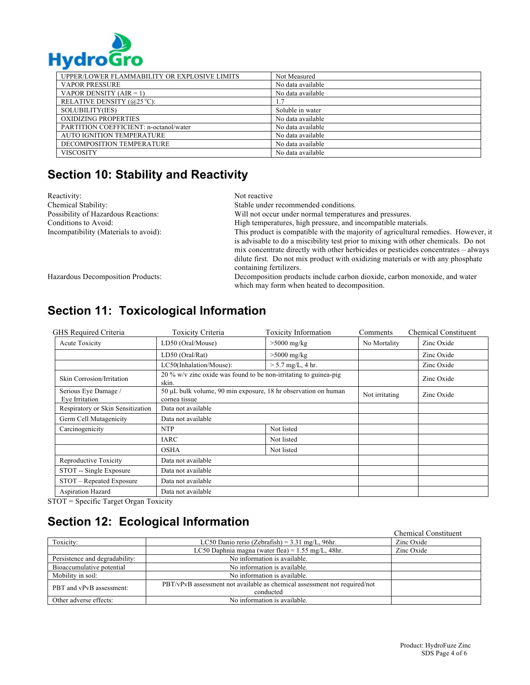

| UPPER/LOWER FLAMMABILITY OR EXPLOSIVE LIMITS | Not Measured      |
|----------------------------------------------|-------------------|
| <b>VAPOR PRESSURE</b>                        | No data available |
| VAPOR DENSITY $(AIR = 1)$                    | No data available |
| RELATIVE DENSITY (@25 °C):                   | 1.7               |
| SOLUBILITY(IES)                              | Soluble in water  |
| OXIDIZING PROPERTIES                         | No data available |
| PARTITION COEFFICIENT: n-octanol/water       | No data available |
| <b>AUTO IGNITION TEMPERATURE</b>             | No data available |
| DECOMPOSITION TEMPERATURE                    | No data available |
| <b>VISCOSITY</b>                             | No data available |

# **Section 10: Stability and Reactivity**

| Reactivity:                           | Not reactive                                                                                                                                                                                                                                                                                                                                                                 |  |
|---------------------------------------|------------------------------------------------------------------------------------------------------------------------------------------------------------------------------------------------------------------------------------------------------------------------------------------------------------------------------------------------------------------------------|--|
| Chemical Stability:                   | Stable under recommended conditions.                                                                                                                                                                                                                                                                                                                                         |  |
| Possibility of Hazardous Reactions:   | Will not occur under normal temperatures and pressures.                                                                                                                                                                                                                                                                                                                      |  |
| Conditions to Avoid:                  | High temperatures, high pressure, and incompatible materials.                                                                                                                                                                                                                                                                                                                |  |
| Incompatibility (Materials to avoid): | This product is compatible with the majority of agricultural remedies. However, it<br>is advisable to do a miscibility test prior to mixing with other chemicals. Do not<br>mix concentrate directly with other herbicides or pesticides concentrates – always<br>dilute first. Do not mix product with oxidizing materials or with any phosphate<br>containing fertilizers. |  |
| Hazardous Decomposition Products:     | Decomposition products include carbon dioxide, carbon monoxide, and water<br>which may form when heated to decomposition.                                                                                                                                                                                                                                                    |  |

| GHS Required Criteria                  | Toxicity Criteria                                                               | <b>Toxicity Information</b> | <b>Comments</b> | <b>Chemical Constituent</b> |
|----------------------------------------|---------------------------------------------------------------------------------|-----------------------------|-----------------|-----------------------------|
| Acute Toxicity                         | LD50 (Oral/Mouse)                                                               | $>5000$ mg/kg               | No Mortality    | Zinc Oxide                  |
|                                        | LD50 (Oral/Rat)                                                                 | $>5000$ mg/kg               |                 | Zinc Oxide                  |
|                                        | LC50(Inhalation/Mouse):                                                         | $> 5.7$ mg/L, 4 hr.         |                 | Zinc Oxide                  |
| <b>Skin Corrosion/Irritation</b>       | 20 % w/v zinc oxide was found to be non-irritating to guinea-pig<br>skin.       |                             |                 | Zinc Oxide                  |
| Serious Eye Damage /<br>Eye Irritation | 50 μL bulk volume, 90 min exposure, 18 hr observation on human<br>cornea tissue |                             | Not irritating  | Zinc Oxide                  |
| Respiratory or Skin Sensitization      | Data not available                                                              |                             |                 |                             |
| Germ Cell Mutagenicity                 | Data not available                                                              |                             |                 |                             |
| Carcinogenicity                        | <b>NTP</b>                                                                      | Not listed                  |                 |                             |
|                                        | <b>IARC</b>                                                                     | Not listed                  |                 |                             |
|                                        | <b>OSHA</b>                                                                     | Not listed                  |                 |                             |
| Reproductive Toxicity                  | Data not available                                                              |                             |                 |                             |
| STOT -- Single Exposure                | Data not available                                                              |                             |                 |                             |
| STOT – Repeated Exposure               | Data not available                                                              |                             |                 |                             |
| <b>Aspiration Hazard</b>               | Data not available                                                              |                             |                 |                             |

**Section 11: Toxicological Information** 

STOT = Specific Target Organ Toxicity

## **Section 12: Ecological Information**

|                                |                                                                                        | <b>Chemical Constituent</b> |
|--------------------------------|----------------------------------------------------------------------------------------|-----------------------------|
| Toxicity:                      | LC50 Danio rerio (Zebrafish) = $3.31$ mg/L, 96hr.                                      | Zinc Oxide                  |
|                                | LC50 Daphnia magna (water flea) = $1.55$ mg/L, 48hr.                                   | Zinc Oxide                  |
| Persistence and degradability: | No information is available.                                                           |                             |
| Bioaccumulative potential      | No information is available.                                                           |                             |
| Mobility in soil:              | No information is available.                                                           |                             |
| PBT and vPvB assessment:       | PBT/vPvB assessment not available as chemical assessment not required/not<br>conducted |                             |
| Other adverse effects:         | No information is available.                                                           |                             |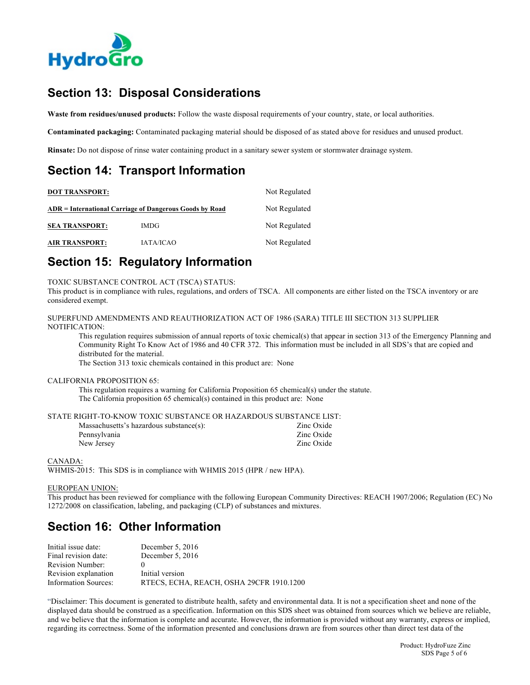

## **Section 13: Disposal Considerations**

**Waste from residues/unused products:** Follow the waste disposal requirements of your country, state, or local authorities.

**Contaminated packaging:** Contaminated packaging material should be disposed of as stated above for residues and unused product.

**Rinsate:** Do not dispose of rinse water containing product in a sanitary sewer system or stormwater drainage system.

## **Section 14: Transport Information**

| <b>DOT TRANSPORT:</b>                                   | Not Regulated<br>Not Regulated |               |
|---------------------------------------------------------|--------------------------------|---------------|
| ADR = International Carriage of Dangerous Goods by Road |                                |               |
| <b>SEA TRANSPORT:</b>                                   | <b>IMDG</b>                    | Not Regulated |
| <b>AIR TRANSPORT:</b>                                   | <b>IATA/ICAO</b>               | Not Regulated |

## **Section 15: Regulatory Information**

TOXIC SUBSTANCE CONTROL ACT (TSCA) STATUS:

This product is in compliance with rules, regulations, and orders of TSCA. All components are either listed on the TSCA inventory or are considered exempt.

```
SUPERFUND AMENDMENTS AND REAUTHORIZATION ACT OF 1986 (SARA) TITLE III SECTION 313 SUPPLIER 
NOTIFICATION:
```
This regulation requires submission of annual reports of toxic chemical(s) that appear in section 313 of the Emergency Planning and Community Right To Know Act of 1986 and 40 CFR 372. This information must be included in all SDS's that are copied and distributed for the material.

The Section 313 toxic chemicals contained in this product are: None

#### CALIFORNIA PROPOSITION 65:

This regulation requires a warning for California Proposition 65 chemical(s) under the statute. The California proposition 65 chemical(s) contained in this product are: None

STATE RIGHT-TO-KNOW TOXIC SUBSTANCE OR HAZARDOUS SUBSTANCE LIST:

| Zinc Oxide |
|------------|
| Zinc Oxide |
|            |

#### CANADA:

WHMIS-2015: This SDS is in compliance with WHMIS 2015 (HPR / new HPA).

#### EUROPEAN UNION:

This product has been reviewed for compliance with the following European Community Directives: REACH 1907/2006; Regulation (EC) No 1272/2008 on classification, labeling, and packaging (CLP) of substances and mixtures.

## **Section 16: Other Information**

| December $5.2016$                        |
|------------------------------------------|
| December 5, $2016$                       |
|                                          |
| Initial version                          |
| RTECS, ECHA, REACH, OSHA 29CFR 1910.1200 |
|                                          |

"Disclaimer: This document is generated to distribute health, safety and environmental data. It is not a specification sheet and none of the displayed data should be construed as a specification. Information on this SDS sheet was obtained from sources which we believe are reliable, and we believe that the information is complete and accurate. However, the information is provided without any warranty, express or implied, regarding its correctness. Some of the information presented and conclusions drawn are from sources other than direct test data of the